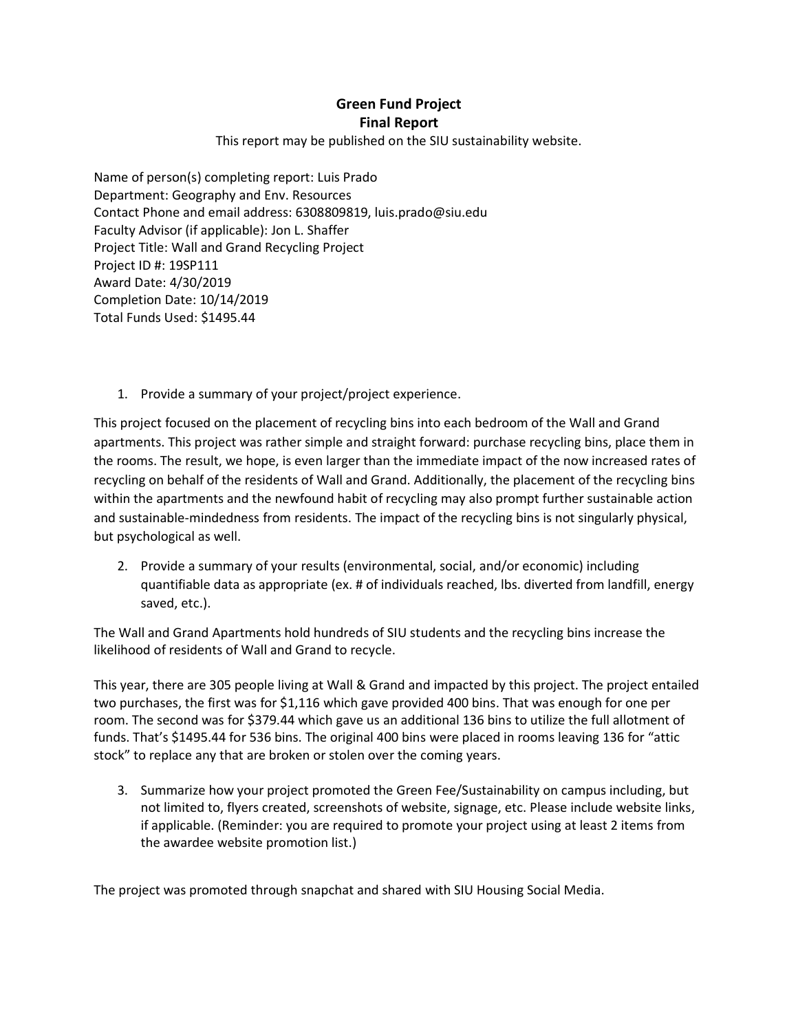## **Green Fund Project Final Report**

This report may be published on the SIU sustainability website.

Name of person(s) completing report: Luis Prado Department: Geography and Env. Resources Contact Phone and email address: 6308809819, luis.prado@siu.edu Faculty Advisor (if applicable): Jon L. Shaffer Project Title: Wall and Grand Recycling Project Project ID #: 19SP111 Award Date: 4/30/2019 Completion Date: 10/14/2019 Total Funds Used: \$1495.44

1. Provide a summary of your project/project experience.

This project focused on the placement of recycling bins into each bedroom of the Wall and Grand apartments. This project was rather simple and straight forward: purchase recycling bins, place them in the rooms. The result, we hope, is even larger than the immediate impact of the now increased rates of recycling on behalf of the residents of Wall and Grand. Additionally, the placement of the recycling bins within the apartments and the newfound habit of recycling may also prompt further sustainable action and sustainable-mindedness from residents. The impact of the recycling bins is not singularly physical, but psychological as well.

2. Provide a summary of your results (environmental, social, and/or economic) including quantifiable data as appropriate (ex. # of individuals reached, lbs. diverted from landfill, energy saved, etc.).

The Wall and Grand Apartments hold hundreds of SIU students and the recycling bins increase the likelihood of residents of Wall and Grand to recycle.

This year, there are 305 people living at Wall & Grand and impacted by this project. The project entailed two purchases, the first was for \$1,116 which gave provided 400 bins. That was enough for one per room. The second was for \$379.44 which gave us an additional 136 bins to utilize the full allotment of funds. That's \$1495.44 for 536 bins. The original 400 bins were placed in rooms leaving 136 for "attic stock" to replace any that are broken or stolen over the coming years.

3. Summarize how your project promoted the Green Fee/Sustainability on campus including, but not limited to, flyers created, screenshots of website, signage, etc. Please include website links, if applicable. (Reminder: you are required to promote your project using at least 2 items from the awardee website promotion list.)

The project was promoted through snapchat and shared with SIU Housing Social Media.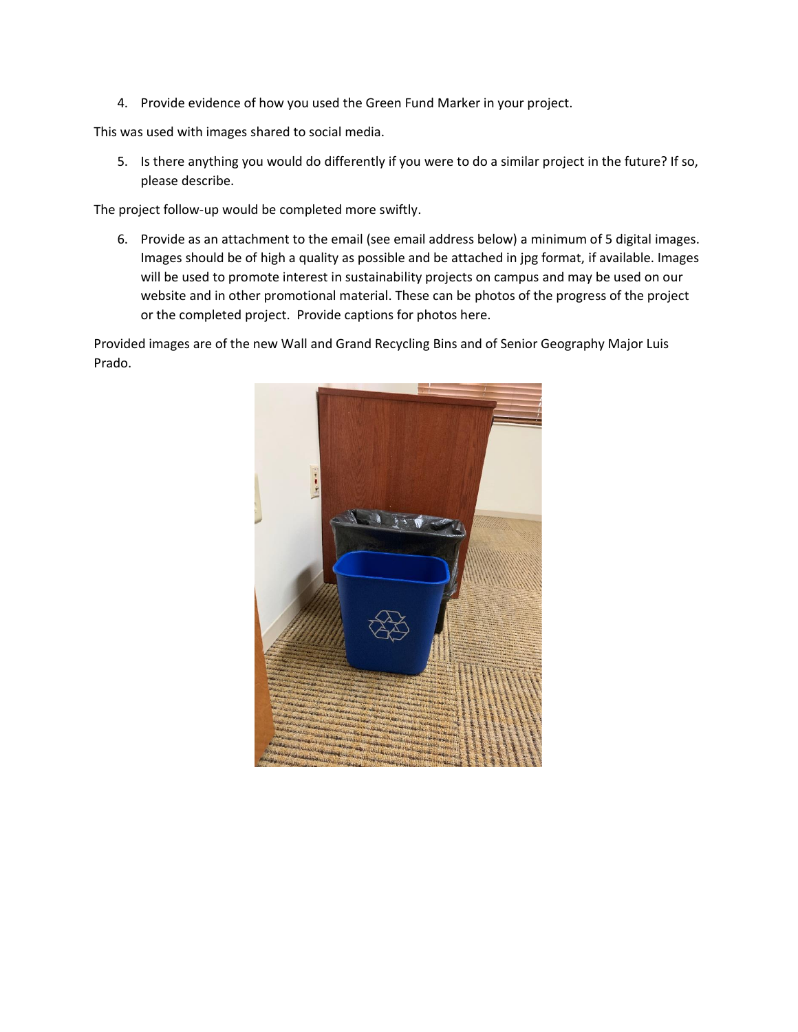4. Provide evidence of how you used the Green Fund Marker in your project.

This was used with images shared to social media.

5. Is there anything you would do differently if you were to do a similar project in the future? If so, please describe.

The project follow-up would be completed more swiftly.

6. Provide as an attachment to the email (see email address below) a minimum of 5 digital images. Images should be of high a quality as possible and be attached in jpg format, if available. Images will be used to promote interest in sustainability projects on campus and may be used on our website and in other promotional material. These can be photos of the progress of the project or the completed project. Provide captions for photos here.

Provided images are of the new Wall and Grand Recycling Bins and of Senior Geography Major Luis Prado.

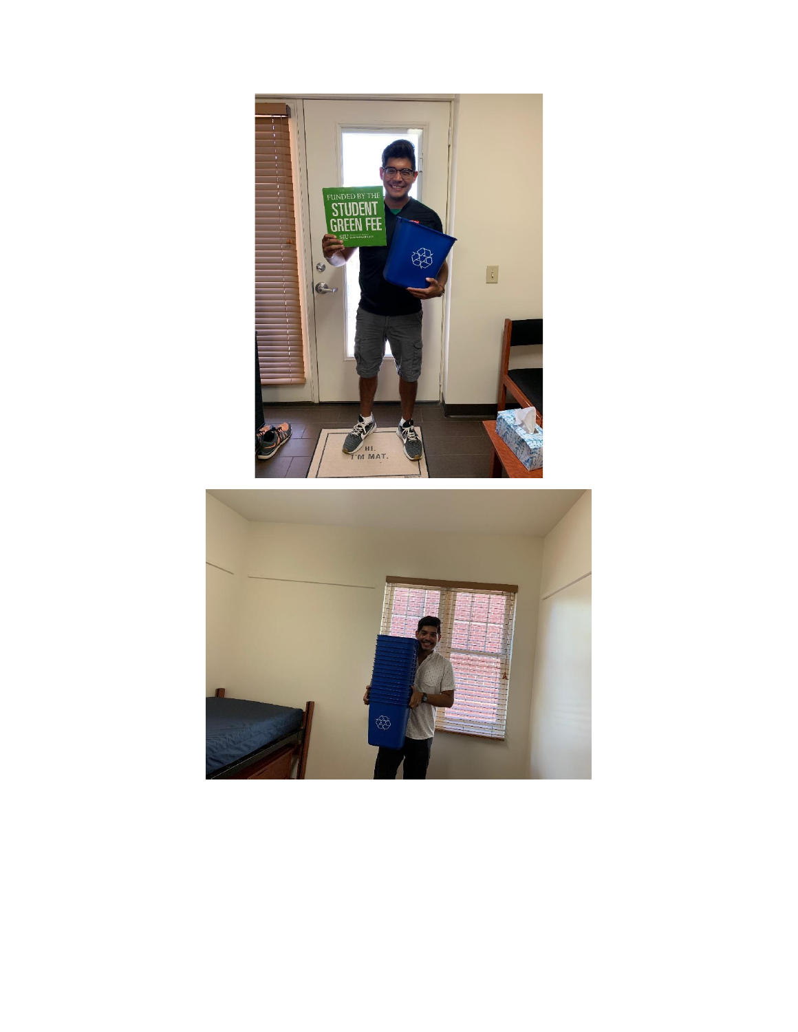

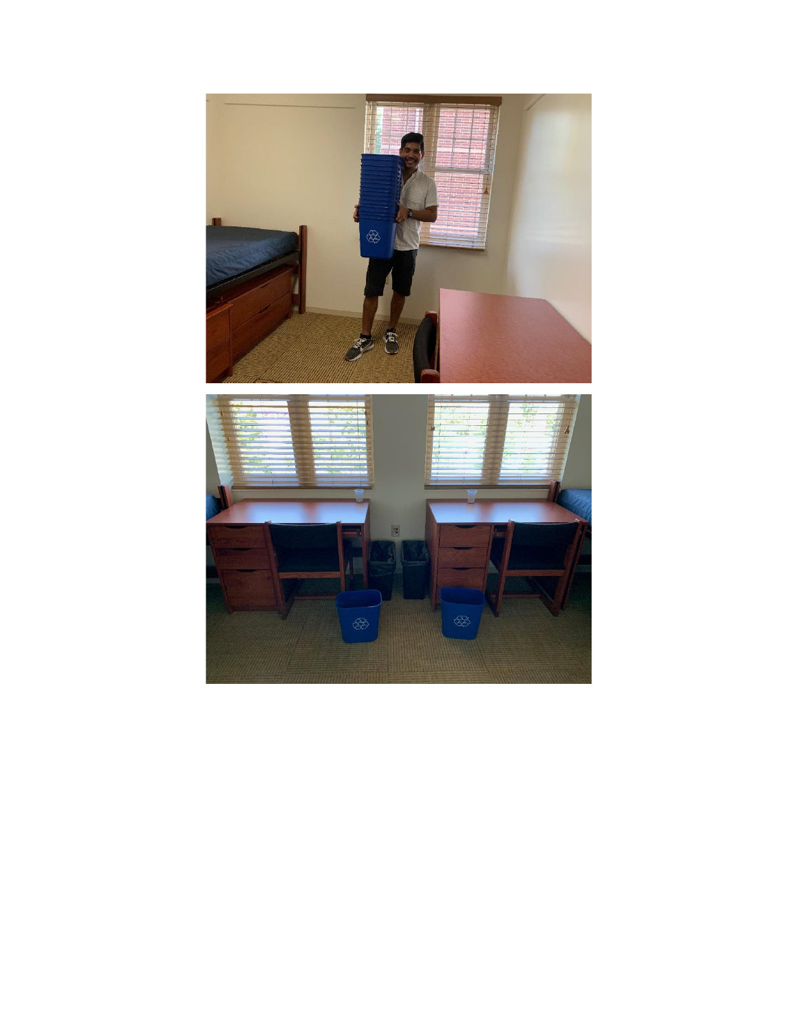

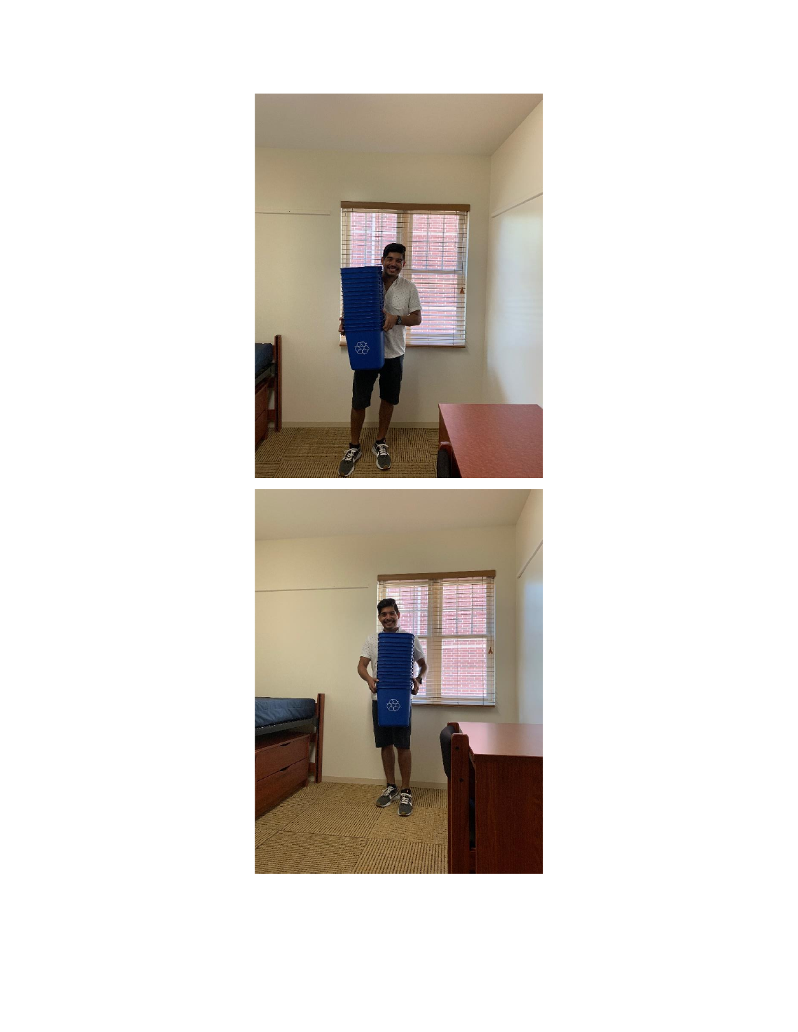